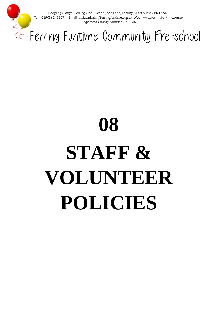

# **08 STAFF & VOLUNTEER POLICIES**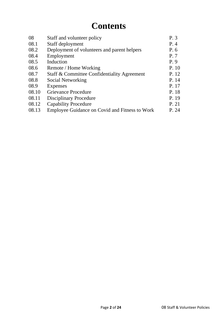# **Contents**

| 08    | Staff and volunteer policy                     | P. 3  |
|-------|------------------------------------------------|-------|
| 08.1  | Staff deployment                               | P.4   |
| 08.2  | Deployment of volunteers and parent helpers    | P. 6  |
| 08.4  | Employment                                     | P. 7  |
| 08.5  | Induction                                      | P. 9  |
| 08.6  | Remote / Home Working                          | P. 10 |
| 08.7  | Staff & Committee Confidentiality Agreement    | P. 12 |
| 08.8  | Social Networking                              | P. 14 |
| 08.9  | <b>Expenses</b>                                | P. 17 |
| 08.10 | <b>Grievance Procedure</b>                     | P. 18 |
| 08.11 | <b>Disciplinary Procedure</b>                  | P. 19 |
| 08.12 | <b>Capability Procedure</b>                    | P. 21 |
| 08.13 | Employee Guidance on Covid and Fitness to Work | P. 24 |
|       |                                                |       |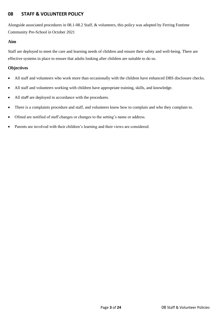# **08 STAFF & VOLUNTEER POLICY**

Alongside associated procedures in 08.1-08.2 Staff, & volunteers, this policy was adopted by Ferring Funtime Community Pre-School in October 2021

#### **Aim**

Staff are deployed to meet the care and learning needs of children and ensure their safety and well-being. There are effective systems in place to ensure that adults looking after children are suitable to do so.

# **Objectives**

- All staff and volunteers who work more than occasionally with the children have enhanced DBS disclosure checks.
- All staff and volunteers working with children have appropriate training, skills, and knowledge.
- All staff are deployed in accordance with the procedures.
- There is a complaints procedure and staff, and volunteers know how to complain and who they complain to.
- Ofsted are notified of staff changes or changes to the setting's name or address.
- Parents are involved with their children's learning and their views are considered.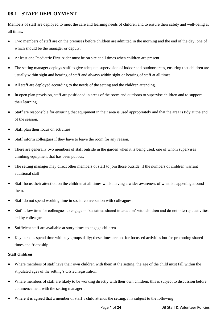# **08.1 STAFF DEPLOYMENT**

Members of staff are deployed to meet the care and learning needs of children and to ensure their safety and well-being at all times.

- Two members of staff are on the premises before children are admitted in the morning and the end of the day; one of which should be the manager or deputy.
- At least one Paediatric First Aider must be on site at all times when children are present
- The setting manager deploys staff to give adequate supervision of indoor and outdoor areas, ensuring that children are usually within sight and hearing of staff and always within sight *or* hearing of staff at all times.
- All staff are deployed according to the needs of the setting and the children attending.
- In open plan provision, staff are positioned in areas of the room and outdoors to supervise children and to support their learning.
- Staff are responsible for ensuring that equipment in their area is used appropriately and that the area is tidy at the end of the session.
- Staff plan their focus on activities
- Staff inform colleagues if they have to leave the room for any reason.
- There are generally two members of staff outside in the garden when it is being used, one of whom supervises climbing equipment that has been put out.
- The setting manager may direct other members of staff to join those outside, if the numbers of children warrant additional staff.
- Staff focus their attention on the children at all times whilst having a wider awareness of what is happening around them.
- Staff do not spend working time in social conversation with colleagues.
- Staff allow time for colleagues to engage in 'sustained shared interaction' with children and do not interrupt activities led by colleagues.
- Sufficient staff are available at story times to engage children.
- Key persons spend time with key groups daily; these times are not for focussed activities but for promoting shared times and friendship.

#### **Staff children**

- Where members of staff have their own children with them at the setting, the age of the child must fall within the stipulated ages of the setting's Ofsted registration.
- Where members of staff are likely to be working directly with their own children, this is subject to discussion before commencement with the setting manager ..
- Where it is agreed that a member of staff's child attends the setting, it is subject to the following: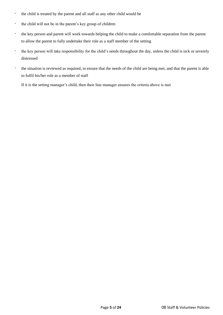- the child is treated by the parent and all staff as any other child would be
- the child will not be in the parent's key group of children
- the key person and parent will work towards helping the child to make a comfortable separation from the parent to allow the parent to fully undertake their role as a staff member of the setting
- the key person will take responsibility for the child's needs throughout the day, unless the child is sick or severely distressed
- the situation is reviewed as required, to ensure that the needs of the child are being met, and that the parent is able to fulfil his/her role as a member of staff

If it is the setting manager's child, then their line manager ensures the criteria above is met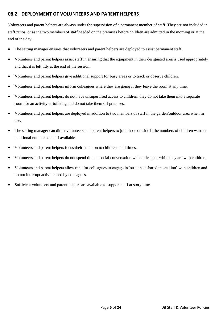# **08.2 DEPLOYMENT OF VOLUNTEERS AND PARENT HELPERS**

Volunteers and parent helpers are always under the supervision of a permanent member of staff. They are not included in staff ratios, or as the two members of staff needed on the premises before children are admitted in the morning or at the end of the day.

- The setting manager ensures that volunteers and parent helpers are deployed to assist permanent staff.
- Volunteers and parent helpers assist staff in ensuring that the equipment in their designated area is used appropriately and that it is left tidy at the end of the session.
- Volunteers and parent helpers give additional support for busy areas or to track or observe children.
- Volunteers and parent helpers inform colleagues where they are going if they leave the room at any time.
- Volunteers and parent helpers do not have unsupervised access to children; they do not take them into a separate room for an activity or toileting and do not take them off premises.
- Volunteers and parent helpers are deployed in addition to two members of staff in the garden/outdoor area when in use.
- The setting manager can direct volunteers and parent helpers to join those outside if the numbers of children warrant additional numbers of staff available.
- Volunteers and parent helpers focus their attention to children at all times.
- Volunteers and parent helpers do not spend time in social conversation with colleagues while they are with children.
- Volunteers and parent helpers allow time for colleagues to engage in 'sustained shared interaction' with children and do not interrupt activities led by colleagues.
- Sufficient volunteers and parent helpers are available to support staff at story times.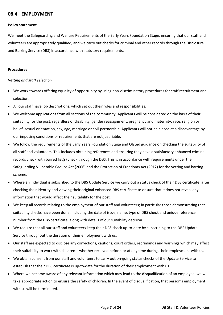# **08.4 EMPLOYMENT**

#### **Policy statement**

We meet the Safeguarding and Welfare Requirements of the Early Years Foundation Stage, ensuring that our staff and volunteers are appropriately qualified, and we carry out checks for criminal and other records through the Disclosure and Barring Service (DBS) in accordance with statutory requirements.

#### **Procedures**

#### *Vetting and staff selection*

- We work towards offering equality of opportunity by using non-discriminatory procedures for staff recruitment and selection.
- All our staff have job descriptions, which set out their roles and responsibilities.
- We welcome applications from all sections of the community. Applicants will be considered on the basis of their suitability for the post, regardless of disability, gender reassignment, pregnancy and maternity, race, religion or belief, sexual orientation, sex, age, marriage or civil partnership. Applicants will not be placed at a disadvantage by our imposing conditions or requirements that are not justifiable.
- We follow the requirements of the Early Years Foundation Stage and Ofsted guidance on checking the suitability of all staff and volunteers. This includes obtaining references and ensuring they have a satisfactory enhanced criminal records check with barred list(s) check through the DBS. This is in accordance with requirements under the Safeguarding Vulnerable Groups Act (2006) and the Protection of Freedoms Act (2012) for the vetting and barring scheme.
- Where an individual is subscribed to the DBS Update Service we carry out a status check of their DBS certificate, after checking their identity and viewing their original enhanced DBS certificate to ensure that it does not reveal any information that would affect their suitability for the post.
- We keep all records relating to the employment of our staff and volunteers; in particular those demonstrating that suitability checks have been done, including the date of issue, name, type of DBS check and unique reference number from the DBS certificate, along with details of our suitability decision.
- We require that all our staff and volunteers keep their DBS check up-to-date by subscribing to the DBS Update Service throughout the duration of their employment with us.
- Our staff are expected to disclose any convictions, cautions, court orders, reprimands and warnings which may affect their suitability to work with children – whether received before, or at any time during, their employment with us.
- We obtain consent from our staff and volunteers to carry out on-going status checks of the Update Service to establish that their DBS certificate is up-to-date for the duration of their employment with us.
- Where we become aware of any relevant information which may lead to the disqualification of an employee, we will take appropriate action to ensure the safety of children. In the event of disqualification, that person's employment with us will be terminated.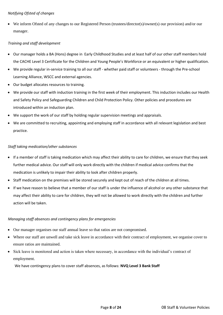#### *Notifying Ofsted of changes*

• We inform Ofsted of any changes to our Registered Person (trustees/director(s)/owner(s) our provision) and/or our manager.

# *Training and staff development*

- Our manager holds a BA (Hons) degree in Early Childhood Studies and at least half of our other staff members hold the CACHE Level 3 Certificate for the Children and Young People's Workforce or an equivalent or higher qualification.
- We provide regular in-service training to all our staff whether paid staff or volunteers through the Pre-school Learning Alliance, WSCC and external agencies.
- Our budget allocates resources to training.
- We provide our staff with induction training in the first week of their employment. This induction includes our Health and Safety Policy and Safeguarding Children and Child Protection Policy. Other policies and procedures are introduced within an induction plan.
- We support the work of our staff by holding regular supervision meetings and appraisals.
- We are committed to recruiting, appointing and employing staff in accordance with all relevant legislation and best practice.

## *Staff taking medication/other substances*

- If a member of staff is taking medication which may affect their ability to care for children, we ensure that they seek further medical advice. Our staff will only work directly with the children if medical advice confirms that the medication is unlikely to impair their ability to look after children properly.
- Staff medication on the premises will be stored securely and kept out of reach of the children at all times.
- If we have reason to believe that a member of our staff is under the influence of alcohol or any other substance that may affect their ability to care for children, they will not be allowed to work directly with the children and further action will be taken.

#### *Managing staff absences and contingency plans for emergencies*

- Our manager organises our staff annual leave so that ratios are not compromised.
- Where our staff are unwell and take sick leave in accordance with their contract of employment, we organise cover to ensure ratios are maintained.
- Sick leave is monitored and action is taken where necessary, in accordance with the individual's contract of employment.

We have contingency plans to cover staff absences, as follows: **NVQ Level 3 Bank Staff**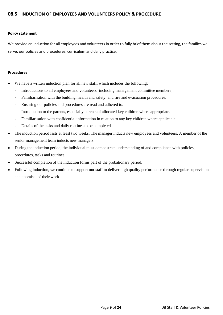#### **08.5 INDUCTION OF EMPLOYEES AND VOLUNTEERS POLICY & PROCEDURE**

#### **Policy statement**

We provide an induction for all employees and volunteers in order to fully brief them about the setting, the families we serve, our policies and procedures, curriculum and daily practice.

#### **Procedures**

- We have a written induction plan for all new staff, which includes the following:
	- **-** Introductions to all employees and volunteers [including management committee members].
	- **-** Familiarisation with the building, health and safety, and fire and evacuation procedures.
	- **-** Ensuring our policies and procedures are read and adhered to.
	- **-** Introduction to the parents, especially parents of allocated key children where appropriate.
	- **-** Familiarisation with confidential information in relation to any key children where applicable.
	- **-** Details of the tasks and daily routines to be completed.
- The induction period lasts at least two weeks. The manager inducts new employees and volunteers. A member of the senior management team inducts new managers
- During the induction period, the individual must demonstrate understanding of and compliance with policies, procedures, tasks and routines.
- Successful completion of the induction forms part of the probationary period.
- Following induction, we continue to support our staff to deliver high quality performance through regular supervision and appraisal of their work.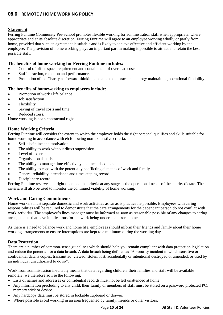# **08.6 REMOTE / HOME WORKING POLICY**

#### **Statement**

Ferring Funtime Community Pre-School promotes flexible working for administration staff when appropriate, where appropriate and at its absolute discretion. Ferring Funtime will agree to an employee working wholly or partly from home, provided that such an agreement is suitable and is likely to achieve effective and efficient working by the employee. The provision of home working plays an important part in making it possible to attract and retain the best possible staff.

#### **The benefits of home working for Ferring Funtime includes:**

- Control of office space requirement and containment of overhead costs.
- Staff attraction, retention and performance.
- Promotion of the Charity as forward-thinking and able to embrace technology maintaining operational flexibility.

#### **The benefits of homeworking to employees include:**

- Promotion of work / life balance
- Job satisfaction
- **Flexibility**
- Saving of travel costs and time
- Reduced stress.

Home working is not a contractual right.

#### **Home Working Criteria**

Ferring Funtime will consider the extent to which the employee holds the right personal qualifies and skills suitable for home working in accordance with eh following non-exhaustive criteria:

- Self-discipline and motivation
- The ability to work without direct supervision
- Level of experience
- Organisational skills
- The ability to manage time effectively and meet deadlines
- The ability to cope with the potentially conflicting demands of work and family
- General reliability, attendance and time keeping record
- Disciplinary record

Ferring Funtime reserves the right to amend the criteria at any stage as the operational needs of the charity dictate. The criteria will also be used to monitor the continued viability of home working.

#### **Work and Caring Commitments**

Home workers must separate domestic and work activities as far as is practicable possible. Employees with caring responsibilities will be required to demonstrate that the care arrangements for the dependant person do not conflict with work activities. The employee's lines manager must be informed as soon as reasonable possible of any changes to caring arrangements that have implications for the work being undertaken from home.

As there is a need to balance work and home life, employees should inform their friends and family about their home working arrangements to ensure interruptions are kept to a minimum during the working day.

#### **Data Protection**

There are a number of common-sense guidelines which should help you remain compliant with data protection legislation and reduce the potential for a data breach. A data breach being defined as "A security incident in which sensitive or confidential data is copies, transmitted, viewed, stolen, lost, accidentally or intentional destroyed or amended, or used by an individual unauthorised to do so".

Work from administration inevitably means that data regarding children, their families and staff will be available remotely, we therefore advise the following;

- Lists of names and addresses or confidential records must not be left unattended at home.
- Any information precluding to any child, their family or members of staff must be stored on a password protected PC, memory stick or device.
- Any hardcopy data must be stored in lockable cupboard or drawer.
- Where possible avoid working in an area frequented by family, friends or other visitors.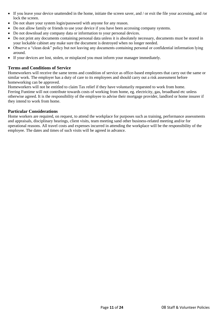- If you leave your device unattended in the home, initiate the screen saver, and / or exit the file your accessing, and /or lock the screen.
- Do not share your system login/password with anyone for any reason.
- Do not allow family or friends to use your device if you have been accessing company systems.
- Do not download any company data or information to your personal devices.
- Do not print any documents containing personal data unless it is absolutely necessary, documents must be stored in your lockable cabinet any make sure the document is destroyed when no longer needed.
- Observe a "clean desk" policy but not leaving any documents containing personal or confidential information lying around.
- If your devices are lost, stolen, or misplaced you must inform your manager immediately.

#### **Terms and Conditions of Service**

Homeworkers will receive the same terms and condition of service as office-based employees that carry out the same or similar work. The employer has a duty of care to its employees and should carry out a risk assessment before homeworking can be approved.

Homeworkers will not be entitled to claim Tax relief if they have voluntarily requested to work from home. Ferring Funtime will not contribute towards costs of working from home, eg. electricity, gas, broadband etc unless otherwise agreed. It is the responsibility of the employee to advise their mortgage provider, landlord or home insurer if they intend to work from home.

#### **Particular Considerations**

Home workers are required, on request, to attend the workplace for purposes such as training, performance assessments and appraisals, disciplinary hearings, client visits, team meeting sand other business-related meeting and/or for operational reasons. All travel costs and expenses incurred in attending the workplace will be the responsibility of the employee. The dates and times of such visits will be agreed in advance.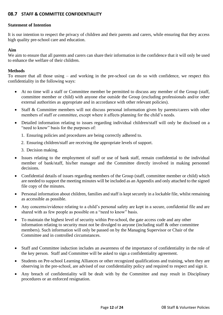# **08.7 STAFF & COMMITTEE CONFIDENTIALITY**

## **Statement of Intention**

It is our intention to respect the privacy of children and their parents and carers, while ensuring that they access high quality pre-school care and education.

#### **Aim**

We aim to ensure that all parents and carers can share their information in the confidence that it will only be used to enhance the welfare of their children.

#### **Methods**

To ensure that all those using – and working in the pre-school can do so with confidence, we respect this confidentiality in the following ways:

- At no time will a staff or Committee member be permitted to discuss any member of the Group (staff, committee member or child) with anyone else outside the Group (excluding professionals and/or other external authorities as appropriate and in accordance with other relevant policies).
- Staff & Committee members will not discuss personal information given by parents/carers with other members of staff or committee, except where it affects planning for the child's needs.
- Detailed information relating to issues regarding individual children/staff will only be disclosed on a "need to know" basis for the purposes of:
	- 1. Ensuring policies and procedures are being correctly adhered to.
	- 2. Ensuring children/staff are receiving the appropriate levels of support.
	- 3. Decision making.
- Issues relating to the employment of staff or use of bank staff, remain confidential to the individual member of bank/staff, his/her manager and the Committee directly involved in making personnel decisions.
- Confidential details of issues regarding members of the Group (staff, committee member or child) which are needed to support the meeting minutes will be included as an Appendix and only attached to the signed file copy of the minutes.
- Personal information about children, families and staff is kept securely in a lockable file, whilst remaining as accessible as possible.
- Any concerns/evidence relating to a child's personal safety are kept in a secure, confidential file and are shared with as few people as possible on a "need to know" basis.
- To maintain the highest level of security within Pre-school, the gate access code and any other information relating to security must not be divulged to anyone (including staff & other committee members). Such information will only be passed on by the Managing Supervisor or Chair of the Committee and in controlled circumstances.
- Staff and Committee induction includes an awareness of the importance of confidentiality in the role of the key person. Staff and Committee will be asked to sign a confidentiality agreement.
- Students on Pre-school Learning Alliances or other recognized qualifications and training, when they are observing in the pre-school, are advised of our confidentiality policy and required to respect and sign it.
- Any breach of confidentiality will be dealt with by the Committee and may result in Disciplinary procedures or an enforced resignation.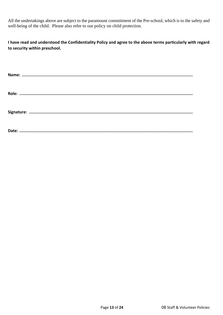All the undertakings above are subject to the paramount commitment of the Pre-school, which is to the safety and well-being of the child. Please also refer to our policy on child protection.

**I have read and understood the Confidentiality Policy and agree to the above terms particularly with regard to security within preschool.** 

**Name: ............................................................................................................................................. Role: ............................................................................................................................................... Signature: ....................................................................................................................................... Date: ...............................................................................................................................................**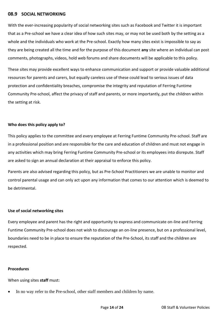#### **08.9 SOCIAL NETWORKING**

With the ever-increasing popularity of social networking sites such as Facebook and Twitter it is important that as a Pre-school we have a clear idea of how such sites may, or may not be used both by the setting as a whole and the individuals who work at the Pre-school. Exactly how many sites exist is impossible to say as they are being created all the time and for the purpose of this document **any** site where an individual can post comments, photographs, videos, hold web forums and share documents will be applicable to this policy.

These sites may provide excellent ways to enhance communication and support or provide valuable additional resources for parents and carers, but equally careless use of these could lead to serious issues of data protection and confidentiality breaches, compromise the integrity and reputation of Ferring Funtime Community Pre-school, affect the privacy of staff and parents, or more importantly, put the children within the setting at risk.

## **Who does this policy apply to?**

This policy applies to the committee and every employee at Ferring Funtime Community Pre-school. Staff are in a professional position and are responsible for the care and education of children and must not engage in any activities which may bring Ferring Funtime Community Pre-school or its employees into disrepute. Staff are asked to sign an annual declaration at their appraisal to enforce this policy.

Parents are also advised regarding this policy, but as Pre-School Practitioners we are unable to monitor and control parental usage and can only act upon any information that comes to our attention which is deemed to be detrimental.

#### **Use of social networking sites**

Every employee and parent has the right and opportunity to express and communicate on-line and Ferring Funtime Community Pre-school does not wish to discourage an on-line presence, but on a professional level, boundaries need to be in place to ensure the reputation of the Pre-School, its staff and the children are respected.

#### **Procedures**

When using sites **staff** must:

In no way refer to the Pre-school, other staff members and children by name.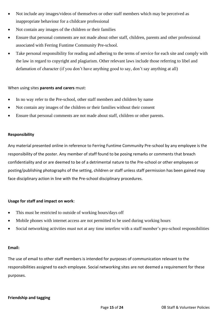- Not include any images/videos of themselves or other staff members which may be perceived as inappropriate behaviour for a childcare professional
- Not contain any images of the children or their families
- Ensure that personal comments are not made about other staff, children, parents and other professional associated with Ferring Funtime Community Pre-school.
- Take personal responsibility for reading and adhering to the terms of service for each site and comply with the law in regard to copyright and plagiarism. Other relevant laws include those referring to libel and defamation of character (if you don't have anything good to say, don't say anything at all)

#### When using sites **parents and carers** must:

- In no way refer to the Pre-school, other staff members and children by name
- Not contain any images of the children or their families without their consent
- Ensure that personal comments are not made about staff, children or other parents.

#### **Responsibility**

Any material presented online in reference to Ferring Funtime Community Pre-school by any employee is the responsibility of the poster. Any member of staff found to be posing remarks or comments that breach confidentiality and or are deemed to be of a detrimental nature to the Pre-school or other employees or posting/publishing photographs of the setting, children or staff unless staff permission has been gained may face disciplinary action in line with the Pre-school disciplinary procedures.

#### **Usage for staff and impact on work**:

- This must be restricted to outside of working hours/days off
- Mobile phones with internet access are not permitted to be used during working hours
- Social networking activities must not at any time interfere with a staff member's pre-school responsibilities

#### **Email:**

The use of email to other staff members is intended for purposes of communication relevant to the responsibilities assigned to each employee. Social networking sites are not deemed a requirement for these purposes.

#### **Friendship and tagging**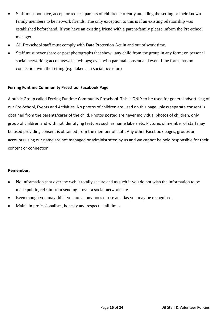- Staff must not have, accept or request parents of children currently attending the setting or their known family members to be network friends. The only exception to this is if an existing relationship was established beforehand. If you have an existing friend with a parent/family please inform the Pre-school manager.
- All Pre-school staff must comply with Data Protection Act in and out of work time.
- Staff must never share or post photographs that show any child from the group in any form; on personal social networking accounts/website/blogs; even with parental consent and even if the forms has no connection with the setting (e.g. taken at a social occasion)

#### **Ferring Funtime Community Preschool Facebook Page**

A public Group called Ferring Funtime Community Preschool. This is ONLY to be used for general advertising of our Pre-School, Events and Activities. No photos of children are used on this page unless separate consent is obtained from the parents/carer of the child. Photos posted are never individual photos of children, only group of children and with not identifying features such as name labels etc. Pictures of member of staff may be used providing consent is obtained from the member of staff. Any other Facebook pages, groups or accounts using our name are not managed or administrated by us and we cannot be held responsible for their content or connection.

#### **Remember:**

- No information sent over the web it totally secure and as such if you do not wish the information to be made public, refrain from sending it over a social network site.
- Even though you may think you are anonymous or use an alias you may be recognised.
- Maintain professionalism, honesty and respect at all times.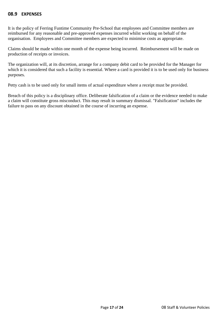# **08.9 EXPENSES**

It is the policy of Ferring Funtime Community Pre-School that employees and Committee members are reimbursed for any reasonable and pre-approved expenses incurred whilst working on behalf of the organisation. Employees and Committee members are expected to minimise costs as appropriate.

Claims should be made within one month of the expense being incurred. Reimbursement will be made on production of receipts or invoices.

The organization will, at its discretion, arrange for a company debit card to be provided for the Manager for which it is considered that such a facility is essential. Where a card is provided it is to be used only for business purposes.

Petty cash is to be used only for small items of actual expenditure where a receipt must be provided.

Breach of this policy is a disciplinary office. Deliberate falsification of a claim or the evidence needed to make a claim will constitute gross misconduct. This may result in summary dismissal. "Falsification" includes the failure to pass on any discount obtained in the course of incurring an expense.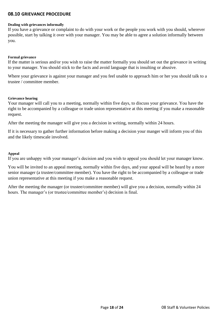# **08.10 GRIEVANCE PROCEDURE**

#### **Dealing with grievances informally**

If you have a grievance or complaint to do with your work or the people you work with you should, wherever possible, start by talking it over with your manager. You may be able to agree a solution informally between you.

#### **Formal grievance**

If the matter is serious and/or you wish to raise the matter formally you should set out the grievance in writing to your manager. You should stick to the facts and avoid language that is insulting or abusive.

Where your grievance is against your manager and you feel unable to approach him or her you should talk to a trustee / committee member.

#### **Grievance hearing**

Your manager will call you to a meeting, normally within five days, to discuss your grievance. You have the right to be accompanied by a colleague or trade union representative at this meeting if you make a reasonable request.

After the meeting the manager will give you a decision in writing, normally within 24 hours.

If it is necessary to gather further information before making a decision your manger will inform you of this and the likely timescale involved.

#### **Appeal**

If you are unhappy with your manager's decision and you wish to appeal you should let your manager know.

You will be invited to an appeal meeting, normally within five days, and your appeal will be heard by a more senior manager (a trustee/committee member). You have the right to be accompanied by a colleague or trade union representative at this meeting if you make a reasonable request.

After the meeting the manager (or trustee/committee member) will give you a decision, normally within 24 hours. The manager's (or trustee/committee member's) decision is final.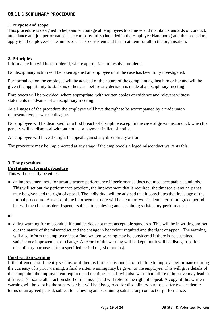# **08.11 DISCIPLINARY PROCEDURE**

# **1. Purpose and scope**

This procedure is designed to help and encourage all employees to achieve and maintain standards of conduct, attendance and job performance. The company rules (included in the Employee Handbook) and this procedure apply to all employees. The aim is to ensure consistent and fair treatment for all in the organisation.

# **2. Principles**

Informal action will be considered, where appropriate, to resolve problems.

No disciplinary action will be taken against an employee until the case has been fully investigated.

For formal action the employee will be advised of the nature of the complaint against him or her and will be given the opportunity to state his or her case before any decision is made at a disciplinary meeting.

Employees will be provided, where appropriate, with written copies of evidence and relevant witness statements in advance of a disciplinary meeting.

At all stages of the procedure the employee will have the right to be accompanied by a trade union representative, or work colleague.

No employee will be dismissed for a first breach of discipline except in the case of gross misconduct, when the penalty will be dismissal without notice or payment in lieu of notice.

An employee will have the right to appeal against any disciplinary action.

The procedure may be implemented at any stage if the employee's alleged misconduct warrants this.

# **3. The procedure First stage of formal procedure**

This will normally be either:

● an improvement note for unsatisfactory performance if performance does not meet acceptable standards. This will set out the performance problem, the improvement that is required, the timescale, any help that may be given and the right of appeal. The individual will be advised that it constitutes the first stage of the formal procedure. A record of the improvement note will be kept for two academic terms or agreed period, but will then be considered spent – subject to achieving and sustaining satisfactory performance

**or**

● a first warning for misconduct if conduct does not meet acceptable standards. This will be in writing and set out the nature of the misconduct and the change in behaviour required and the right of appeal. The warning will also inform the employee that a final written warning may be considered if there is no sustained satisfactory improvement or change. A record of the warning will be kept, but it will be disregarded for disciplinary purposes after a specified period (eg, six months).

#### **Final written warning**

If the offence is sufficiently serious, or if there is further misconduct or a failure to improve performance during the currency of a prior warning, a final written warning may be given to the employee. This will give details of the complaint, the improvement required and the timescale. It will also warn that failure to improve may lead to dismissal (or some other action short of dismissal) and will refer to the right of appeal. A copy of this written warning will be kept by the supervisor but will be disregarded for disciplinary purposes after two academic terms or an agreed period, subject to achieving and sustaining satisfactory conduct or performance.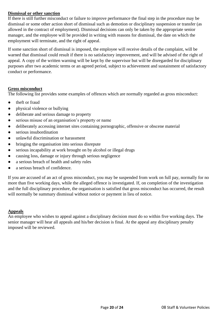# **Dismissal or other sanction**

If there is still further misconduct or failure to improve performance the final step in the procedure may be dismissal or some other action short of dismissal such as demotion or disciplinary suspension or transfer (as allowed in the contract of employment). Dismissal decisions can only be taken by the appropriate senior manager, and the employee will be provided in writing with reasons for dismissal, the date on which the employment will terminate, and the right of appeal.

If some sanction short of dismissal is imposed, the employee will receive details of the complaint, will be warned that dismissal could result if there is no satisfactory improvement, and will be advised of the right of appeal. A copy of the written warning will be kept by the supervisor but will be disregarded for disciplinary purposes after two academic terms or an agreed period, subject to achievement and sustainment of satisfactory conduct or performance.

# **Gross misconduct**

The following list provides some examples of offences which are normally regarded as gross misconduct:

- theft or fraud
- physical violence or bullying
- deliberate and serious damage to property
- serious misuse of an organisation's property or name
- deliberately accessing internet sites containing pornographic, offensive or obscene material
- serious insubordination
- unlawful discrimination or harassment
- bringing the organisation into serious disrepute
- serious incapability at work brought on by alcohol or illegal drugs
- causing loss, damage or injury through serious negligence
- a serious breach of health and safety rules
- a serious breach of confidence.

If you are accused of an act of gross misconduct, you may be suspended from work on full pay, normally for no more than five working days, while the alleged offence is investigated. If, on completion of the investigation and the full disciplinary procedure, the organisation is satisfied that gross misconduct has occurred, the result will normally be summary dismissal without notice or payment in lieu of notice.

# **Appeals**

An employee who wishes to appeal against a disciplinary decision must do so within five working days. The senior manager will hear all appeals and his/her decision is final. At the appeal any disciplinary penalty imposed will be reviewed.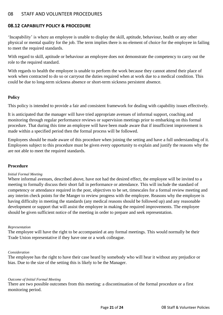# 08 STAFF AND VOLUNTEER PROCEDURES

# **08.12 CAPABILITY POLICY & PROCEDURE**

'Incapability' is where an employee is unable to display the skill, aptitude, behaviour, health or any other physical or mental quality for the job. The term implies there is no element of choice for the employee in failing to meet the required standards.

With regard to skill, aptitude or behaviour an employee does not demonstrate the competency to carry out the role to the required standard.

With regards to health the employee is unable to perform the work because they cannot attend their place of work when contracted to do so or carryout the duties required when at work due to a medical condition. This could be due to long-term sickness absence or short-term sickness persistent absence.

#### **Policy**

This policy is intended to provide a fair and consistent framework for dealing with capability issues effectively.

It is anticipated that the manager will have tried appropriate avenues of informal support, coaching and monitoring through regular performance reviews or supervision meetings prior to embarking on this formal procedure. That during this time an employee will have been made aware that if insufficient improvement is made within a specified period then the formal process will be followed.

Employees should be made aware of this procedure when joining the setting and have a full understanding of it. Employees subject to this procedure must be given every opportunity to explain and justify the reasons why the are not able to meet the required standards.

#### **Procedure**

#### *Initial Formal Meeting*

Where informal avenues, described above, have not had the desired effect, the employee will be invited to a meeting to formally discuss their short fall in performance or attendance. This will include the standard of competency or attendance required in the post, objectives to be set, timescales for a formal review meeting and any interim check points for the Manger to review progress with the employee. Reasons why the employee is having difficulty in meeting the standards (any medical reasons should be followed up) and any reasonable development or support that will assist the employee in making the required improvements. The employee should be given sufficient notice of the meeting in order to prepare and seek representation.

#### *Representation*

The employee will have the right to be accompanied at any formal meetings. This would normally be their Trade Union representative if they have one or a work colleague.

#### *Consideration*

The employee has the right to have their case heard by somebody who will hear it without any prejudice or bias. Due to the size of the setting this is likely to be the Manager.

#### *Outcome of Initial Formal Meeting*

There are two possible outcomes from this meeting: a discontinuation of the formal procedure or a first monitoring period.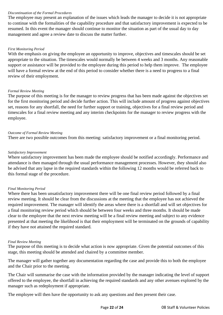#### *Discontinuation of the Formal Procedures*

The employee may present an explanation of the issues which leads the manager to decide it is not appropriate to continue with the formalities of the capability procedure and that satisfactory improvement is expected to be resumed. In this event the manager should continue to monitor the situation as part of the usual day to day management and agree a review date to discuss the matter further.

#### *First Monitoring Period*

With the emphasis on giving the employee an opportunity to improve, objectives and timescales should be set appropriate to the situation. The timescales would normally be between 4 weeks and 3 months. Any reasonable support or assistance will be provided to the employee during this period to help them improve. The employee will have a formal review at the end of this period to consider whether there is a need to progress to a final review of their employment.

#### *Formal Review Meeting*

The purpose of this meeting is for the manager to review progress that has been made against the objectives set for the first monitoring period and decide further action. This will include amount of progress against objectives set, reasons for any shortfall, the need for further support or training, objectives for a final review period and timescales for a final review meeting and any interim checkpoints for the manager to review progress with the employee.

#### *Outcome of Formal Review Meeting*

There are two possible outcomes from this meeting: satisfactory improvement or a final monitoring period.

#### *Satisfactory Improvement*

Where satisfactory improvement has been made the employee should be notified accordingly. Performance and attendance is then managed through the usual performance management processes. However, they should also be advised that any lapse in the required standards within the following 12 months would be referred back to this formal stage of the procedure.

#### *Final Monitoring Period*

Where there has been unsatisfactory improvement there will be one final review period followed by a final review meeting. It should be clear from the discussions at the meeting that the employee has not achieved the required improvement. The manager will identify the areas where there is a shortfall and will set objectives for a final monitoring review period which should be between four weeks and three months. It should be made clear to the employee that the next review meeting will be a final review meeting and subject to any evidence presented at that meeting the likelihood is that their employment will be terminated on the grounds of capability if they have not attained the required standard.

#### *Final Review Meeting*

The purpose of this meeting is to decide what action is now appropriate. Given the potential outcomes of this stage, this meeting should be attended and chaired by a committee member.

The manager will gather together any documentation regarding the case and provide this to both the employee and the Chair prior to the meeting.

The Chair will summarise the case with the information provided by the manager indicating the level of support offered to the employee, the shortfall in achieving the required standards and any other avenues explored by the manager such as redeployment if appropriate.

The employee will then have the opportunity to ask any questions and then present their case.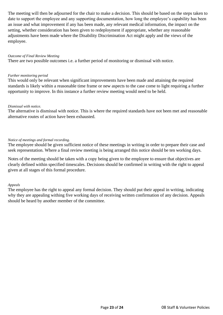The meeting will then be adjourned for the chair to make a decision. This should be based on the steps taken to date to support the employee and any supporting documentation, how long the employee's capability has been an issue and what improvement if any has been made, any relevant medical information, the impact on the setting, whether consideration has been given to redeployment if appropriate, whether any reasonable adjustments have been made where the Disability Discrimination Act might apply and the views of the employee.

#### *Outcome of Final Review Meeting*

There are two possible outcomes i.e. a further period of monitoring or dismissal with notice.

#### *Further monitoring period*

This would only be relevant when significant improvements have been made and attaining the required standards is likely within a reasonable time frame or new aspects to the case come to light requiring a further opportunity to improve. In this instance a further review meeting would need to be held.

#### *Dismissal with notice.*

The alternative is dismissal with notice. This is where the required standards have not been met and reasonable alternative routes of action have been exhausted.

#### *Notice of meetings and formal recording.*

The employee should be given sufficient notice of these meetings in writing in order to prepare their case and seek representation. Where a final review meeting is being arranged this notice should be ten working days.

Notes of the meeting should be taken with a copy being given to the employee to ensure that objectives are clearly defined within specified timescales. Decisions should be confirmed in writing with the right to appeal given at all stages of this formal procedure.

#### *Appeals*

The employee has the right to appeal any formal decision. They should put their appeal in writing, indicating why they are appealing withing five working days of receiving written confirmation of any decision. Appeals should be heard by another member of the committee.